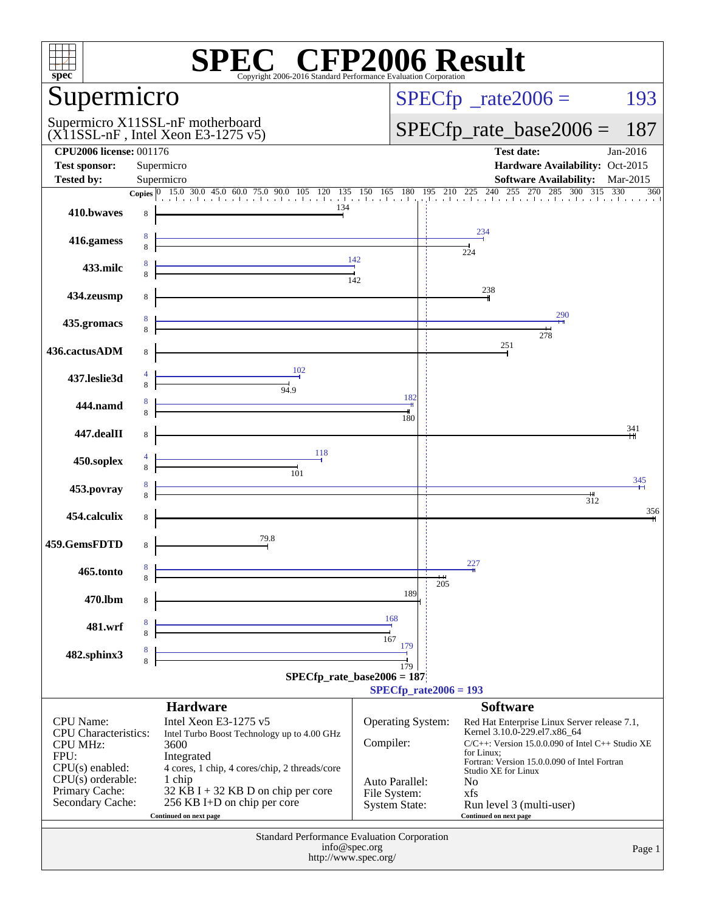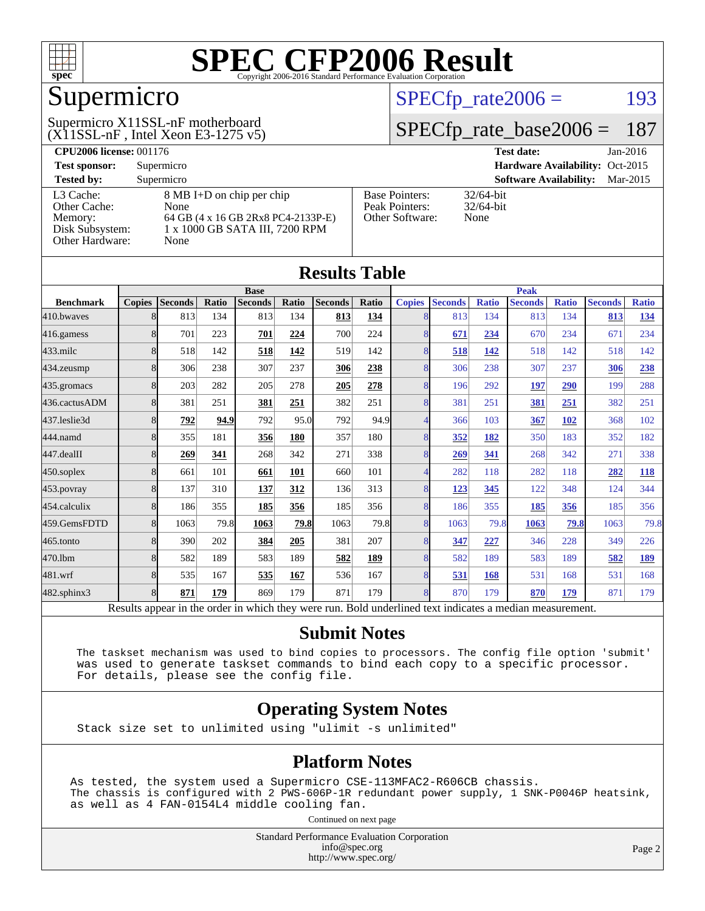

### Supermicro

 $(X11SSL-nF)$ , Intel Xeon E3-1275 v5) Supermicro X11SSL-nF motherboard

#### $SPECTp_rate2006 = 193$

#### [SPECfp\\_rate\\_base2006 =](http://www.spec.org/auto/cpu2006/Docs/result-fields.html#SPECfpratebase2006) 187

| <b>CPU2006 license: 001176</b> |                                    |                                 | Jan-2016<br><b>Test date:</b>             |
|--------------------------------|------------------------------------|---------------------------------|-------------------------------------------|
| <b>Test sponsor:</b>           | Supermicro                         | Hardware Availability: Oct-2015 |                                           |
| <b>Tested by:</b>              | Supermicro                         |                                 | <b>Software Availability:</b><br>Mar-2015 |
| L3 Cache:                      | 8 MB I+D on chip per chip          | <b>Base Pointers:</b>           | $32/64$ -bit                              |
| Other Cache:                   | None                               | Peak Pointers:                  | $32/64$ -bit                              |
| Memory:                        | 64 GB (4 x 16 GB 2Rx8 PC4-2133P-E) | Other Software:                 | None                                      |
| Disk Subsystem:                | 1 x 1000 GB SATA III, 7200 RPM     |                                 |                                           |
| Other Hardware:                | None                               |                                 |                                           |

| <b>Results Table</b>                                                                                     |                |                |       |                |       |                |              |                |                |              |                |              |                |              |
|----------------------------------------------------------------------------------------------------------|----------------|----------------|-------|----------------|-------|----------------|--------------|----------------|----------------|--------------|----------------|--------------|----------------|--------------|
|                                                                                                          | <b>Base</b>    |                |       | <b>Peak</b>    |       |                |              |                |                |              |                |              |                |              |
| <b>Benchmark</b>                                                                                         | <b>Copies</b>  | <b>Seconds</b> | Ratio | <b>Seconds</b> | Ratio | <b>Seconds</b> | <b>Ratio</b> | <b>Copies</b>  | <b>Seconds</b> | <b>Ratio</b> | <b>Seconds</b> | <b>Ratio</b> | <b>Seconds</b> | <b>Ratio</b> |
| 410.bwayes                                                                                               | 8              | 813            | 134   | 813            | 134   | 813            | 134          | 8              | 813            | 134          | 813            | 134          | 813            | 134          |
| 416.gamess                                                                                               | 8              | 701            | 223   | 701            | 224   | 700            | 224          | 8              | 671            | 234          | 670            | 234          | 671            | 234          |
| 433.milc                                                                                                 | 8              | 518            | 142   | 518            | 142   | 519            | 142          | 8              | 518            | 142          | 518            | 142          | 518            | 142          |
| 434.zeusmp                                                                                               | 8              | 306            | 238   | 307            | 237   | 306            | 238          | 8              | 306            | 238          | 307            | 237          | 306            | 238          |
| 435.gromacs                                                                                              | 8              | 203            | 282   | 205            | 278   | 205            | 278          | $\overline{8}$ | 196            | 292          | 197            | 290          | 199            | 288          |
| 436.cactusADM                                                                                            | 8              | 381            | 251   | 381            | 251   | 382            | 251          | 8              | 381            | 251          | 381            | 251          | 382            | 251          |
| 437.leslie3d                                                                                             | 8              | 792            | 94.9  | 792            | 95.0  | 792            | 94.9         | 4              | 366            | 103          | 367            | 102          | 368            | 102          |
| 444.namd                                                                                                 | 8              | 355            | 181   | 356            | 180   | 357            | 180          | 8              | 352            | 182          | 350            | 183          | 352            | 182          |
| 447.dealII                                                                                               | 8              | 269            | 341   | 268            | 342   | 271            | 338          | 8              | 269            | 341          | 268            | 342          | 271            | 338          |
| 450.soplex                                                                                               | 8              | 661            | 101   | 661            | 101   | 660            | 101          | $\overline{4}$ | 282            | 118          | 282            | 118          | 282            | 118          |
| 453.povray                                                                                               | 8              | 137            | 310   | 137            | 312   | 136            | 313          | 8              | 123            | 345          | 122            | 348          | 124            | 344          |
| 454.calculix                                                                                             | 8              | 186            | 355   | 185            | 356   | 185            | 356          | $\overline{8}$ | 186            | 355          | 185            | 356          | 185            | 356          |
| 459.GemsFDTD                                                                                             | $\overline{8}$ | 1063           | 79.8  | 1063           | 79.8  | 1063           | 79.8         | $\overline{8}$ | 1063           | 79.8         | 1063           | 79.8         | 1063           | 79.8         |
| 465.tonto                                                                                                | 8              | 390            | 202   | 384            | 205   | 381            | 207          | 8              | 347            | 227          | 346            | 228          | 349            | 226          |
| 470.1bm                                                                                                  | 8              | 582            | 189   | 583            | 189   | 582            | <b>189</b>   | 8              | 582            | 189          | 583            | 189          | 582            | <u>189</u>   |
| 481.wrf                                                                                                  | 8              | 535            | 167   | 535            | 167   | 536            | 167          | 8              | 531            | 168          | 531            | 168          | 531            | 168          |
| 482.sphinx3                                                                                              | 8              | 871            | 179   | 869            | 179   | 871            | 179          | $\overline{8}$ | 870            | 179          | 870            | 179          | 871            | 179          |
| Results appear in the order in which they were run. Bold underlined text indicates a median measurement. |                |                |       |                |       |                |              |                |                |              |                |              |                |              |

#### **[Submit Notes](http://www.spec.org/auto/cpu2006/Docs/result-fields.html#SubmitNotes)**

 The taskset mechanism was used to bind copies to processors. The config file option 'submit' was used to generate taskset commands to bind each copy to a specific processor. For details, please see the config file.

#### **[Operating System Notes](http://www.spec.org/auto/cpu2006/Docs/result-fields.html#OperatingSystemNotes)**

Stack size set to unlimited using "ulimit -s unlimited"

#### **[Platform Notes](http://www.spec.org/auto/cpu2006/Docs/result-fields.html#PlatformNotes)**

As tested, the system used a Supermicro CSE-113MFAC2-R606CB chassis. The chassis is configured with 2 PWS-606P-1R redundant power supply, 1 SNK-P0046P heatsink, as well as 4 FAN-0154L4 middle cooling fan.

Continued on next page

Standard Performance Evaluation Corporation [info@spec.org](mailto:info@spec.org) <http://www.spec.org/>

Page 2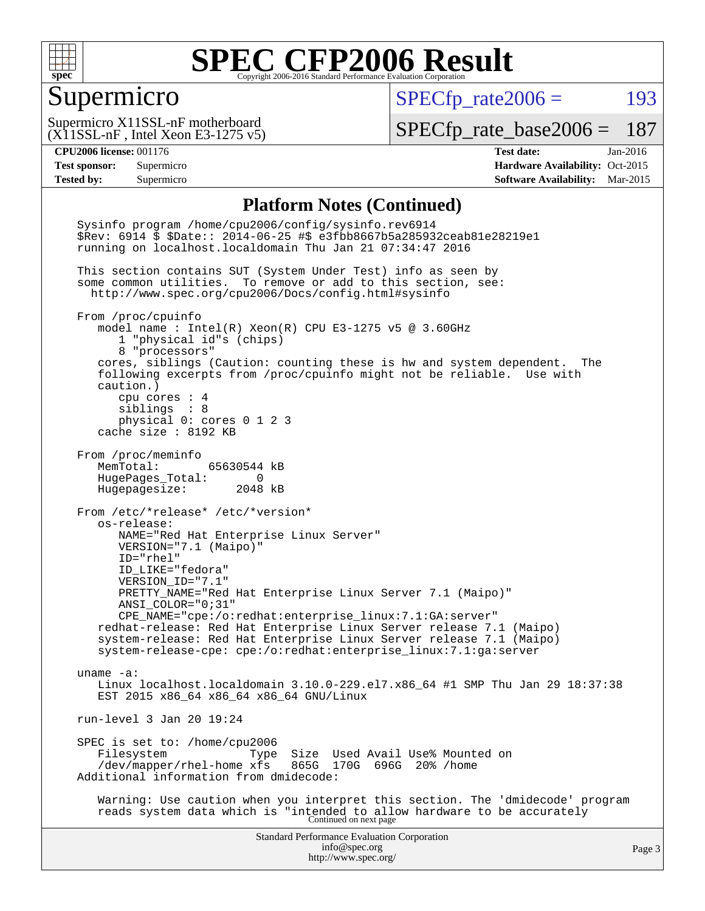

#### Supermicro

 $SPECTp_rate2006 = 193$ 

 $(X11SSL-nF,$  Intel Xeon E3-1275 v5) Supermicro X11SSL-nF motherboard

[SPECfp\\_rate\\_base2006 =](http://www.spec.org/auto/cpu2006/Docs/result-fields.html#SPECfpratebase2006) 187

**[CPU2006 license:](http://www.spec.org/auto/cpu2006/Docs/result-fields.html#CPU2006license)** 001176 **[Test date:](http://www.spec.org/auto/cpu2006/Docs/result-fields.html#Testdate)** Jan-2016 **[Test sponsor:](http://www.spec.org/auto/cpu2006/Docs/result-fields.html#Testsponsor)** Supermicro Supermicro **[Hardware Availability:](http://www.spec.org/auto/cpu2006/Docs/result-fields.html#HardwareAvailability)** Oct-2015 **[Tested by:](http://www.spec.org/auto/cpu2006/Docs/result-fields.html#Testedby)** Supermicro **Supermicro [Software Availability:](http://www.spec.org/auto/cpu2006/Docs/result-fields.html#SoftwareAvailability)** Mar-2015

#### **[Platform Notes \(Continued\)](http://www.spec.org/auto/cpu2006/Docs/result-fields.html#PlatformNotes)**

Standard Performance Evaluation Corporation [info@spec.org](mailto:info@spec.org) <http://www.spec.org/> Page 3 Sysinfo program /home/cpu2006/config/sysinfo.rev6914 \$Rev: 6914 \$ \$Date:: 2014-06-25 #\$ e3fbb8667b5a285932ceab81e28219e1 running on localhost.localdomain Thu Jan 21 07:34:47 2016 This section contains SUT (System Under Test) info as seen by some common utilities. To remove or add to this section, see: <http://www.spec.org/cpu2006/Docs/config.html#sysinfo> From /proc/cpuinfo model name : Intel(R) Xeon(R) CPU E3-1275 v5 @ 3.60GHz 1 "physical id"s (chips) 8 "processors" cores, siblings (Caution: counting these is hw and system dependent. The following excerpts from /proc/cpuinfo might not be reliable. Use with caution.) cpu cores : 4 siblings : 8 physical 0: cores 0 1 2 3 cache size : 8192 KB From /proc/meminfo MemTotal: 65630544 kB HugePages\_Total: 0 Hugepagesize: 2048 kB From /etc/\*release\* /etc/\*version\* os-release: NAME="Red Hat Enterprise Linux Server" VERSION="7.1 (Maipo)" ID="rhel" ID\_LIKE="fedora" VERSION\_ID="7.1" PRETTY\_NAME="Red Hat Enterprise Linux Server 7.1 (Maipo)" ANSI\_COLOR="0;31" CPE\_NAME="cpe:/o:redhat:enterprise\_linux:7.1:GA:server" redhat-release: Red Hat Enterprise Linux Server release 7.1 (Maipo) system-release: Red Hat Enterprise Linux Server release 7.1 (Maipo) system-release-cpe: cpe:/o:redhat:enterprise\_linux:7.1:ga:server uname -a: Linux localhost.localdomain 3.10.0-229.el7.x86\_64 #1 SMP Thu Jan 29 18:37:38 EST 2015 x86\_64 x86\_64 x86\_64 GNU/Linux run-level 3 Jan 20 19:24 SPEC is set to: /home/cpu2006<br>Filesystem Type Type Size Used Avail Use% Mounted on<br>xfs 865G 170G 696G 20% /home  $/$ dev/mapper/rhel-home  $x$ fs Additional information from dmidecode: Warning: Use caution when you interpret this section. The 'dmidecode' program reads system data which is "intended to allow hardware to be accurately Continued on next page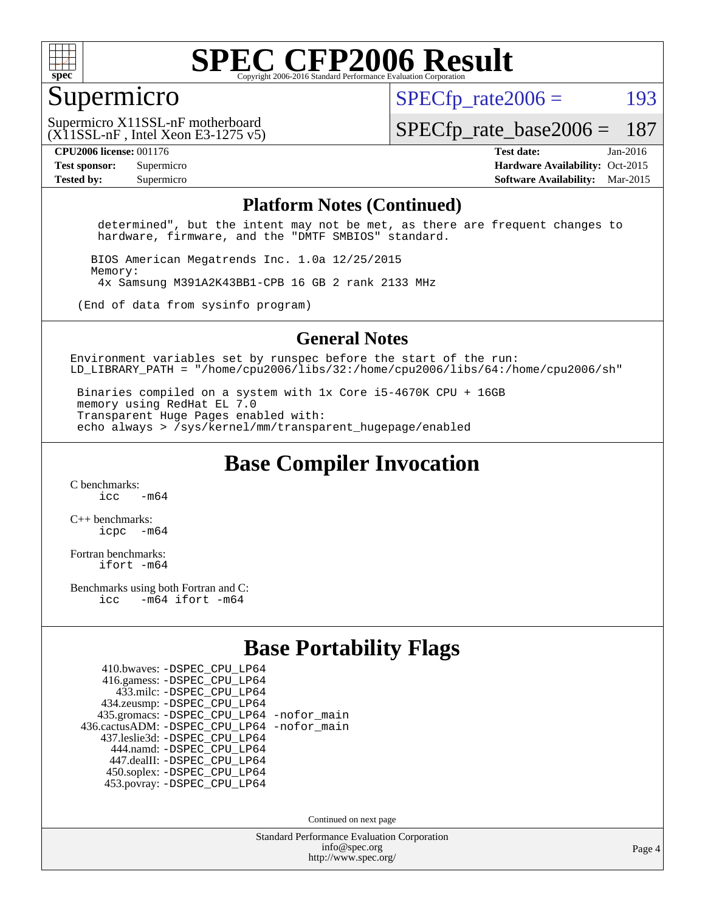

#### Supermicro

 $SPECTp\_rate2006 = 193$ 

(X11SSL-nF , Intel Xeon E3-1275 v5) Supermicro X11SSL-nF motherboard

[SPECfp\\_rate\\_base2006 =](http://www.spec.org/auto/cpu2006/Docs/result-fields.html#SPECfpratebase2006) 187

**[CPU2006 license:](http://www.spec.org/auto/cpu2006/Docs/result-fields.html#CPU2006license)** 001176 **[Test date:](http://www.spec.org/auto/cpu2006/Docs/result-fields.html#Testdate)** Jan-2016 **[Test sponsor:](http://www.spec.org/auto/cpu2006/Docs/result-fields.html#Testsponsor)** Supermicro Supermicro **[Hardware Availability:](http://www.spec.org/auto/cpu2006/Docs/result-fields.html#HardwareAvailability)** Oct-2015 **[Tested by:](http://www.spec.org/auto/cpu2006/Docs/result-fields.html#Testedby)** Supermicro **Supermicro [Software Availability:](http://www.spec.org/auto/cpu2006/Docs/result-fields.html#SoftwareAvailability)** Mar-2015

#### **[Platform Notes \(Continued\)](http://www.spec.org/auto/cpu2006/Docs/result-fields.html#PlatformNotes)**

 determined", but the intent may not be met, as there are frequent changes to hardware, firmware, and the "DMTF SMBIOS" standard.

 BIOS American Megatrends Inc. 1.0a 12/25/2015 Memory: 4x Samsung M391A2K43BB1-CPB 16 GB 2 rank 2133 MHz

(End of data from sysinfo program)

#### **[General Notes](http://www.spec.org/auto/cpu2006/Docs/result-fields.html#GeneralNotes)**

Environment variables set by runspec before the start of the run: LD LIBRARY PATH = "/home/cpu2006/libs/32:/home/cpu2006/libs/64:/home/cpu2006/sh"

 Binaries compiled on a system with 1x Core i5-4670K CPU + 16GB memory using RedHat EL 7.0 Transparent Huge Pages enabled with: echo always > /sys/kernel/mm/transparent\_hugepage/enabled

**[Base Compiler Invocation](http://www.spec.org/auto/cpu2006/Docs/result-fields.html#BaseCompilerInvocation)**

[C benchmarks](http://www.spec.org/auto/cpu2006/Docs/result-fields.html#Cbenchmarks):  $\frac{1}{2}$  cc  $-$  m64

[C++ benchmarks:](http://www.spec.org/auto/cpu2006/Docs/result-fields.html#CXXbenchmarks) [icpc -m64](http://www.spec.org/cpu2006/results/res2016q1/cpu2006-20160125-38770.flags.html#user_CXXbase_intel_icpc_64bit_bedb90c1146cab66620883ef4f41a67e)

[Fortran benchmarks](http://www.spec.org/auto/cpu2006/Docs/result-fields.html#Fortranbenchmarks): [ifort -m64](http://www.spec.org/cpu2006/results/res2016q1/cpu2006-20160125-38770.flags.html#user_FCbase_intel_ifort_64bit_ee9d0fb25645d0210d97eb0527dcc06e)

[Benchmarks using both Fortran and C](http://www.spec.org/auto/cpu2006/Docs/result-fields.html#BenchmarksusingbothFortranandC): [icc -m64](http://www.spec.org/cpu2006/results/res2016q1/cpu2006-20160125-38770.flags.html#user_CC_FCbase_intel_icc_64bit_0b7121f5ab7cfabee23d88897260401c) [ifort -m64](http://www.spec.org/cpu2006/results/res2016q1/cpu2006-20160125-38770.flags.html#user_CC_FCbase_intel_ifort_64bit_ee9d0fb25645d0210d97eb0527dcc06e)

#### **[Base Portability Flags](http://www.spec.org/auto/cpu2006/Docs/result-fields.html#BasePortabilityFlags)**

| 435.gromacs: -DSPEC_CPU_LP64 -nofor_main     |
|----------------------------------------------|
| 436.cactusADM: - DSPEC CPU LP64 - nofor main |
|                                              |
|                                              |
|                                              |
|                                              |
|                                              |
|                                              |

Continued on next page

Standard Performance Evaluation Corporation [info@spec.org](mailto:info@spec.org) <http://www.spec.org/>

Page 4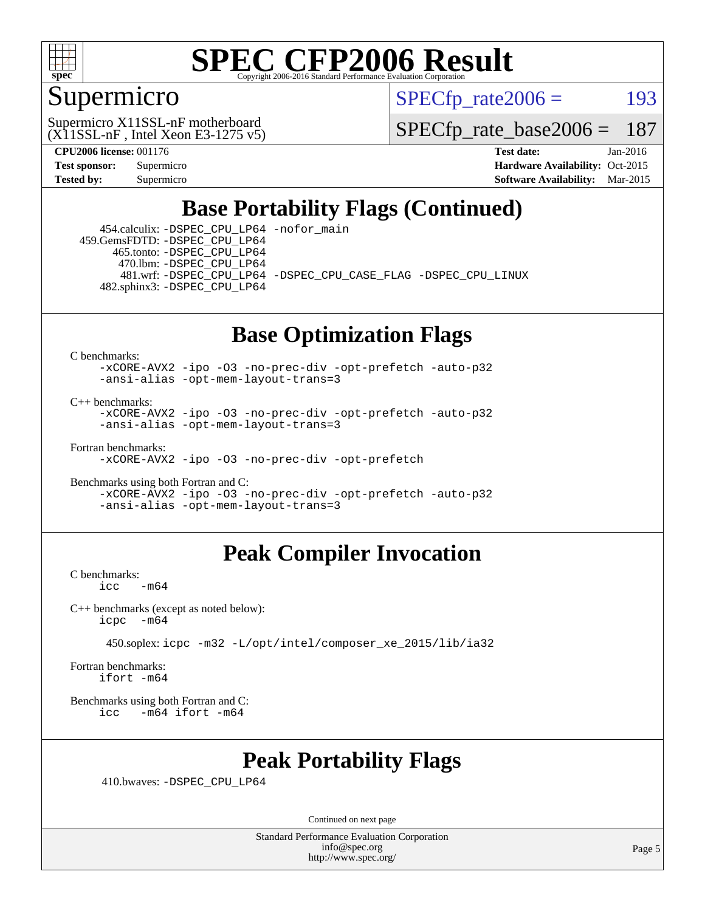

### Supermicro

 $SPECTp\_rate2006 = 193$ 

 $(X11SSL-nF,$  Intel Xeon E3-1275 v5) Supermicro X11SSL-nF motherboard

[SPECfp\\_rate\\_base2006 =](http://www.spec.org/auto/cpu2006/Docs/result-fields.html#SPECfpratebase2006) 187

**[CPU2006 license:](http://www.spec.org/auto/cpu2006/Docs/result-fields.html#CPU2006license)** 001176 **[Test date:](http://www.spec.org/auto/cpu2006/Docs/result-fields.html#Testdate)** Jan-2016 **[Test sponsor:](http://www.spec.org/auto/cpu2006/Docs/result-fields.html#Testsponsor)** Supermicro Supermicro **[Hardware Availability:](http://www.spec.org/auto/cpu2006/Docs/result-fields.html#HardwareAvailability)** Oct-2015 **[Tested by:](http://www.spec.org/auto/cpu2006/Docs/result-fields.html#Testedby)** Supermicro **[Software Availability:](http://www.spec.org/auto/cpu2006/Docs/result-fields.html#SoftwareAvailability)** Mar-2015

### **[Base Portability Flags \(Continued\)](http://www.spec.org/auto/cpu2006/Docs/result-fields.html#BasePortabilityFlags)**

 454.calculix: [-DSPEC\\_CPU\\_LP64](http://www.spec.org/cpu2006/results/res2016q1/cpu2006-20160125-38770.flags.html#suite_basePORTABILITY454_calculix_DSPEC_CPU_LP64) [-nofor\\_main](http://www.spec.org/cpu2006/results/res2016q1/cpu2006-20160125-38770.flags.html#user_baseLDPORTABILITY454_calculix_f-nofor_main) 459.GemsFDTD: [-DSPEC\\_CPU\\_LP64](http://www.spec.org/cpu2006/results/res2016q1/cpu2006-20160125-38770.flags.html#suite_basePORTABILITY459_GemsFDTD_DSPEC_CPU_LP64) 465.tonto: [-DSPEC\\_CPU\\_LP64](http://www.spec.org/cpu2006/results/res2016q1/cpu2006-20160125-38770.flags.html#suite_basePORTABILITY465_tonto_DSPEC_CPU_LP64) 470.lbm: [-DSPEC\\_CPU\\_LP64](http://www.spec.org/cpu2006/results/res2016q1/cpu2006-20160125-38770.flags.html#suite_basePORTABILITY470_lbm_DSPEC_CPU_LP64) 481.wrf: [-DSPEC\\_CPU\\_LP64](http://www.spec.org/cpu2006/results/res2016q1/cpu2006-20160125-38770.flags.html#suite_basePORTABILITY481_wrf_DSPEC_CPU_LP64) [-DSPEC\\_CPU\\_CASE\\_FLAG](http://www.spec.org/cpu2006/results/res2016q1/cpu2006-20160125-38770.flags.html#b481.wrf_baseCPORTABILITY_DSPEC_CPU_CASE_FLAG) [-DSPEC\\_CPU\\_LINUX](http://www.spec.org/cpu2006/results/res2016q1/cpu2006-20160125-38770.flags.html#b481.wrf_baseCPORTABILITY_DSPEC_CPU_LINUX) 482.sphinx3: [-DSPEC\\_CPU\\_LP64](http://www.spec.org/cpu2006/results/res2016q1/cpu2006-20160125-38770.flags.html#suite_basePORTABILITY482_sphinx3_DSPEC_CPU_LP64)

### **[Base Optimization Flags](http://www.spec.org/auto/cpu2006/Docs/result-fields.html#BaseOptimizationFlags)**

[C benchmarks](http://www.spec.org/auto/cpu2006/Docs/result-fields.html#Cbenchmarks):

[-xCORE-AVX2](http://www.spec.org/cpu2006/results/res2016q1/cpu2006-20160125-38770.flags.html#user_CCbase_f-xAVX2_5f5fc0cbe2c9f62c816d3e45806c70d7) [-ipo](http://www.spec.org/cpu2006/results/res2016q1/cpu2006-20160125-38770.flags.html#user_CCbase_f-ipo) [-O3](http://www.spec.org/cpu2006/results/res2016q1/cpu2006-20160125-38770.flags.html#user_CCbase_f-O3) [-no-prec-div](http://www.spec.org/cpu2006/results/res2016q1/cpu2006-20160125-38770.flags.html#user_CCbase_f-no-prec-div) [-opt-prefetch](http://www.spec.org/cpu2006/results/res2016q1/cpu2006-20160125-38770.flags.html#user_CCbase_f-opt-prefetch) [-auto-p32](http://www.spec.org/cpu2006/results/res2016q1/cpu2006-20160125-38770.flags.html#user_CCbase_f-auto-p32) [-ansi-alias](http://www.spec.org/cpu2006/results/res2016q1/cpu2006-20160125-38770.flags.html#user_CCbase_f-ansi-alias) [-opt-mem-layout-trans=3](http://www.spec.org/cpu2006/results/res2016q1/cpu2006-20160125-38770.flags.html#user_CCbase_f-opt-mem-layout-trans_a7b82ad4bd7abf52556d4961a2ae94d5)

[C++ benchmarks:](http://www.spec.org/auto/cpu2006/Docs/result-fields.html#CXXbenchmarks)

[-xCORE-AVX2](http://www.spec.org/cpu2006/results/res2016q1/cpu2006-20160125-38770.flags.html#user_CXXbase_f-xAVX2_5f5fc0cbe2c9f62c816d3e45806c70d7) [-ipo](http://www.spec.org/cpu2006/results/res2016q1/cpu2006-20160125-38770.flags.html#user_CXXbase_f-ipo) [-O3](http://www.spec.org/cpu2006/results/res2016q1/cpu2006-20160125-38770.flags.html#user_CXXbase_f-O3) [-no-prec-div](http://www.spec.org/cpu2006/results/res2016q1/cpu2006-20160125-38770.flags.html#user_CXXbase_f-no-prec-div) [-opt-prefetch](http://www.spec.org/cpu2006/results/res2016q1/cpu2006-20160125-38770.flags.html#user_CXXbase_f-opt-prefetch) [-auto-p32](http://www.spec.org/cpu2006/results/res2016q1/cpu2006-20160125-38770.flags.html#user_CXXbase_f-auto-p32) [-ansi-alias](http://www.spec.org/cpu2006/results/res2016q1/cpu2006-20160125-38770.flags.html#user_CXXbase_f-ansi-alias) [-opt-mem-layout-trans=3](http://www.spec.org/cpu2006/results/res2016q1/cpu2006-20160125-38770.flags.html#user_CXXbase_f-opt-mem-layout-trans_a7b82ad4bd7abf52556d4961a2ae94d5)

[Fortran benchmarks](http://www.spec.org/auto/cpu2006/Docs/result-fields.html#Fortranbenchmarks):

[-xCORE-AVX2](http://www.spec.org/cpu2006/results/res2016q1/cpu2006-20160125-38770.flags.html#user_FCbase_f-xAVX2_5f5fc0cbe2c9f62c816d3e45806c70d7) [-ipo](http://www.spec.org/cpu2006/results/res2016q1/cpu2006-20160125-38770.flags.html#user_FCbase_f-ipo) [-O3](http://www.spec.org/cpu2006/results/res2016q1/cpu2006-20160125-38770.flags.html#user_FCbase_f-O3) [-no-prec-div](http://www.spec.org/cpu2006/results/res2016q1/cpu2006-20160125-38770.flags.html#user_FCbase_f-no-prec-div) [-opt-prefetch](http://www.spec.org/cpu2006/results/res2016q1/cpu2006-20160125-38770.flags.html#user_FCbase_f-opt-prefetch)

[Benchmarks using both Fortran and C](http://www.spec.org/auto/cpu2006/Docs/result-fields.html#BenchmarksusingbothFortranandC): [-xCORE-AVX2](http://www.spec.org/cpu2006/results/res2016q1/cpu2006-20160125-38770.flags.html#user_CC_FCbase_f-xAVX2_5f5fc0cbe2c9f62c816d3e45806c70d7) [-ipo](http://www.spec.org/cpu2006/results/res2016q1/cpu2006-20160125-38770.flags.html#user_CC_FCbase_f-ipo) [-O3](http://www.spec.org/cpu2006/results/res2016q1/cpu2006-20160125-38770.flags.html#user_CC_FCbase_f-O3) [-no-prec-div](http://www.spec.org/cpu2006/results/res2016q1/cpu2006-20160125-38770.flags.html#user_CC_FCbase_f-no-prec-div) [-opt-prefetch](http://www.spec.org/cpu2006/results/res2016q1/cpu2006-20160125-38770.flags.html#user_CC_FCbase_f-opt-prefetch) [-auto-p32](http://www.spec.org/cpu2006/results/res2016q1/cpu2006-20160125-38770.flags.html#user_CC_FCbase_f-auto-p32) [-ansi-alias](http://www.spec.org/cpu2006/results/res2016q1/cpu2006-20160125-38770.flags.html#user_CC_FCbase_f-ansi-alias) [-opt-mem-layout-trans=3](http://www.spec.org/cpu2006/results/res2016q1/cpu2006-20160125-38770.flags.html#user_CC_FCbase_f-opt-mem-layout-trans_a7b82ad4bd7abf52556d4961a2ae94d5)

### **[Peak Compiler Invocation](http://www.spec.org/auto/cpu2006/Docs/result-fields.html#PeakCompilerInvocation)**

[C benchmarks](http://www.spec.org/auto/cpu2006/Docs/result-fields.html#Cbenchmarks):  $-m64$ 

[C++ benchmarks \(except as noted below\):](http://www.spec.org/auto/cpu2006/Docs/result-fields.html#CXXbenchmarksexceptasnotedbelow) [icpc -m64](http://www.spec.org/cpu2006/results/res2016q1/cpu2006-20160125-38770.flags.html#user_CXXpeak_intel_icpc_64bit_bedb90c1146cab66620883ef4f41a67e)

450.soplex: [icpc -m32 -L/opt/intel/composer\\_xe\\_2015/lib/ia32](http://www.spec.org/cpu2006/results/res2016q1/cpu2006-20160125-38770.flags.html#user_peakCXXLD450_soplex_intel_icpc_c2c99686a1a582c3e0de0b4806b02cea)

[Fortran benchmarks](http://www.spec.org/auto/cpu2006/Docs/result-fields.html#Fortranbenchmarks): [ifort -m64](http://www.spec.org/cpu2006/results/res2016q1/cpu2006-20160125-38770.flags.html#user_FCpeak_intel_ifort_64bit_ee9d0fb25645d0210d97eb0527dcc06e)

[Benchmarks using both Fortran and C](http://www.spec.org/auto/cpu2006/Docs/result-fields.html#BenchmarksusingbothFortranandC): [icc -m64](http://www.spec.org/cpu2006/results/res2016q1/cpu2006-20160125-38770.flags.html#user_CC_FCpeak_intel_icc_64bit_0b7121f5ab7cfabee23d88897260401c) [ifort -m64](http://www.spec.org/cpu2006/results/res2016q1/cpu2006-20160125-38770.flags.html#user_CC_FCpeak_intel_ifort_64bit_ee9d0fb25645d0210d97eb0527dcc06e)

### **[Peak Portability Flags](http://www.spec.org/auto/cpu2006/Docs/result-fields.html#PeakPortabilityFlags)**

410.bwaves: [-DSPEC\\_CPU\\_LP64](http://www.spec.org/cpu2006/results/res2016q1/cpu2006-20160125-38770.flags.html#suite_peakPORTABILITY410_bwaves_DSPEC_CPU_LP64)

Continued on next page

Standard Performance Evaluation Corporation [info@spec.org](mailto:info@spec.org) <http://www.spec.org/>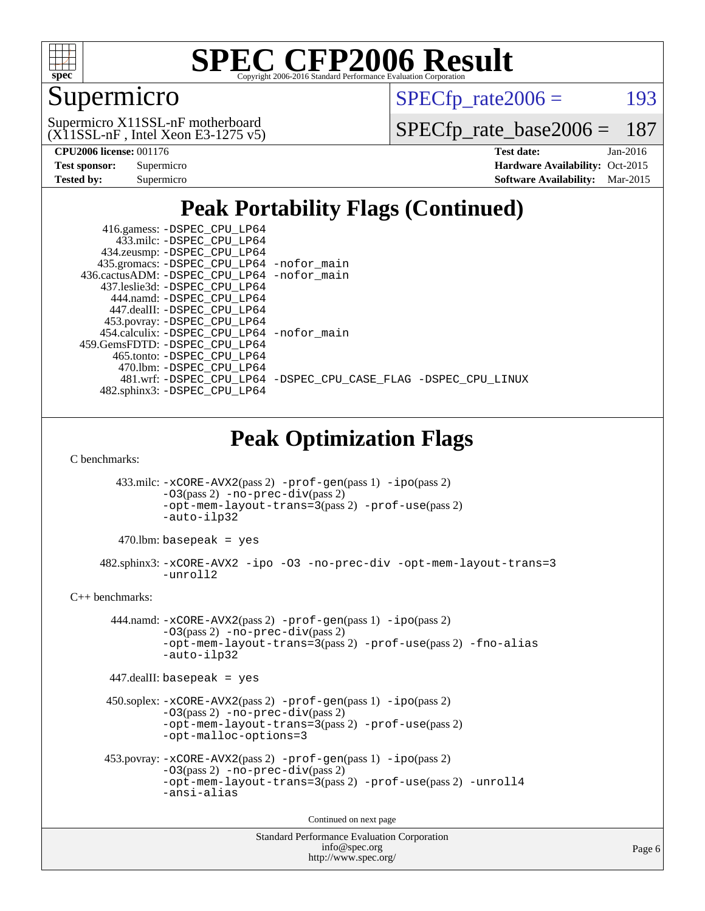

## Supermicro

 $SPECTp_rate2006 = 193$ 

 $(X11SSL-nF,$  Intel Xeon E3-1275 v5) Supermicro X11SSL-nF motherboard

[SPECfp\\_rate\\_base2006 =](http://www.spec.org/auto/cpu2006/Docs/result-fields.html#SPECfpratebase2006) 187

| <b>Test sponsor:</b> | Supermicro |
|----------------------|------------|
| Tested by:           | Supermicro |

**[CPU2006 license:](http://www.spec.org/auto/cpu2006/Docs/result-fields.html#CPU2006license)** 001176 **[Test date:](http://www.spec.org/auto/cpu2006/Docs/result-fields.html#Testdate)** Jan-2016 **[Hardware Availability:](http://www.spec.org/auto/cpu2006/Docs/result-fields.html#HardwareAvailability)** Oct-2015 **[Software Availability:](http://www.spec.org/auto/cpu2006/Docs/result-fields.html#SoftwareAvailability)** Mar-2015

### **[Peak Portability Flags \(Continued\)](http://www.spec.org/auto/cpu2006/Docs/result-fields.html#PeakPortabilityFlags)**

|                                                                                                                                                                                   | 416.gamess: -DSPEC_CPU_LP64<br>433.milc: -DSPEC_CPU_LP64<br>434.zeusmp: - DSPEC_CPU_LP64<br>435.gromacs: -DSPEC_CPU_LP64 -nofor_main<br>436.cactusADM: -DSPEC_CPU_LP64 -nofor_main |  |  |  |  |  |
|-----------------------------------------------------------------------------------------------------------------------------------------------------------------------------------|------------------------------------------------------------------------------------------------------------------------------------------------------------------------------------|--|--|--|--|--|
|                                                                                                                                                                                   | 437.leslie3d: -DSPEC_CPU_LP64<br>444.namd: - DSPEC_CPU_LP64<br>447.dealII: -DSPEC_CPU_LP64<br>453.povray: -DSPEC_CPU_LP64                                                          |  |  |  |  |  |
|                                                                                                                                                                                   | 454.calculix: -DSPEC_CPU_LP64 -nofor_main<br>459.GemsFDTD: - DSPEC_CPU_LP64<br>465.tonto: -DSPEC_CPU_LP64<br>470.1bm: -DSPEC_CPU_LP64                                              |  |  |  |  |  |
|                                                                                                                                                                                   | 481.wrf: -DSPEC_CPU_LP64 -DSPEC_CPU_CASE_FLAG -DSPEC_CPU_LINUX<br>482.sphinx3: -DSPEC_CPU_LP64                                                                                     |  |  |  |  |  |
|                                                                                                                                                                                   | <b>Peak Optimization Flags</b>                                                                                                                                                     |  |  |  |  |  |
| C benchmarks:                                                                                                                                                                     |                                                                                                                                                                                    |  |  |  |  |  |
|                                                                                                                                                                                   | 433.milc: -xCORE-AVX2(pass 2) -prof-gen(pass 1) -ipo(pass 2)<br>$-03(pass 2)$ -no-prec-div(pass 2)<br>-opt-mem-layout-trans=3(pass 2) -prof-use(pass 2)<br>-auto-ilp32             |  |  |  |  |  |
|                                                                                                                                                                                   | $470$ .lbm: basepeak = yes                                                                                                                                                         |  |  |  |  |  |
|                                                                                                                                                                                   | 482.sphinx3: -xCORE-AVX2 -ipo -03 -no-prec-div -opt-mem-layout-trans=3<br>-unroll2                                                                                                 |  |  |  |  |  |
| $C++$ benchmarks:                                                                                                                                                                 |                                                                                                                                                                                    |  |  |  |  |  |
| 444.namd: -xCORE-AVX2(pass 2) -prof-gen(pass 1) -ipo(pass 2)<br>$-03(pass 2)$ -no-prec-div(pass 2)<br>-opt-mem-layout-trans=3(pass 2) -prof-use(pass 2) -fno-alias<br>-auto-ilp32 |                                                                                                                                                                                    |  |  |  |  |  |
|                                                                                                                                                                                   | $447$ .dealII: basepeak = yes                                                                                                                                                      |  |  |  |  |  |
|                                                                                                                                                                                   | 450.soplex: -xCORE-AVX2(pass 2) -prof-gen(pass 1) -ipo(pass 2)<br>$-03(pass 2)$ -no-prec-div(pass 2)<br>-opt-mem-layout-trans=3(pass 2) -prof-use(pass 2)<br>-opt-malloc-options=3 |  |  |  |  |  |
|                                                                                                                                                                                   | 453.povray: -xCORE-AVX2(pass 2) -prof-gen(pass 1) -ipo(pass 2)<br>$-03(pass 2)$ -no-prec-div(pass 2)<br>-opt-mem-layout-trans=3(pass 2) -prof-use(pass 2) -unroll4<br>-ansi-alias  |  |  |  |  |  |
|                                                                                                                                                                                   | Continued on next page                                                                                                                                                             |  |  |  |  |  |
|                                                                                                                                                                                   | <b>Standard Performance Evaluation Corporation</b>                                                                                                                                 |  |  |  |  |  |

[info@spec.org](mailto:info@spec.org) <http://www.spec.org/>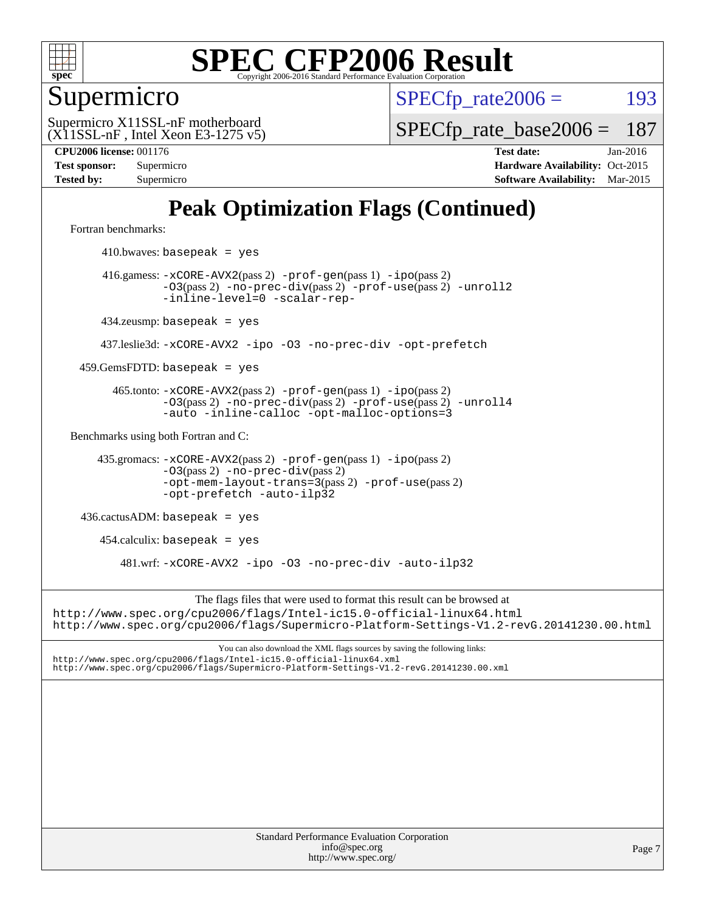

Supermicro

 $SPECTp\_rate2006 = 193$ 

 $(X11SSL-nF,$  Intel Xeon E3-1275 v5) Supermicro X11SSL-nF motherboard

[SPECfp\\_rate\\_base2006 =](http://www.spec.org/auto/cpu2006/Docs/result-fields.html#SPECfpratebase2006) 187

**[CPU2006 license:](http://www.spec.org/auto/cpu2006/Docs/result-fields.html#CPU2006license)** 001176 **[Test date:](http://www.spec.org/auto/cpu2006/Docs/result-fields.html#Testdate)** Jan-2016 **[Test sponsor:](http://www.spec.org/auto/cpu2006/Docs/result-fields.html#Testsponsor)** Supermicro Supermicro **[Hardware Availability:](http://www.spec.org/auto/cpu2006/Docs/result-fields.html#HardwareAvailability)** Oct-2015 **[Tested by:](http://www.spec.org/auto/cpu2006/Docs/result-fields.html#Testedby)** Supermicro **[Software Availability:](http://www.spec.org/auto/cpu2006/Docs/result-fields.html#SoftwareAvailability)** Mar-2015

### **[Peak Optimization Flags \(Continued\)](http://www.spec.org/auto/cpu2006/Docs/result-fields.html#PeakOptimizationFlags)**

[Fortran benchmarks](http://www.spec.org/auto/cpu2006/Docs/result-fields.html#Fortranbenchmarks):

 $410.bwaves: basepeak = yes$  416.gamess: [-xCORE-AVX2](http://www.spec.org/cpu2006/results/res2016q1/cpu2006-20160125-38770.flags.html#user_peakPASS2_FFLAGSPASS2_LDFLAGS416_gamess_f-xAVX2_5f5fc0cbe2c9f62c816d3e45806c70d7)(pass 2) [-prof-gen](http://www.spec.org/cpu2006/results/res2016q1/cpu2006-20160125-38770.flags.html#user_peakPASS1_FFLAGSPASS1_LDFLAGS416_gamess_prof_gen_e43856698f6ca7b7e442dfd80e94a8fc)(pass 1) [-ipo](http://www.spec.org/cpu2006/results/res2016q1/cpu2006-20160125-38770.flags.html#user_peakPASS2_FFLAGSPASS2_LDFLAGS416_gamess_f-ipo)(pass 2) [-O3](http://www.spec.org/cpu2006/results/res2016q1/cpu2006-20160125-38770.flags.html#user_peakPASS2_FFLAGSPASS2_LDFLAGS416_gamess_f-O3)(pass 2) [-no-prec-div](http://www.spec.org/cpu2006/results/res2016q1/cpu2006-20160125-38770.flags.html#user_peakPASS2_FFLAGSPASS2_LDFLAGS416_gamess_f-no-prec-div)(pass 2) [-prof-use](http://www.spec.org/cpu2006/results/res2016q1/cpu2006-20160125-38770.flags.html#user_peakPASS2_FFLAGSPASS2_LDFLAGS416_gamess_prof_use_bccf7792157ff70d64e32fe3e1250b55)(pass 2) [-unroll2](http://www.spec.org/cpu2006/results/res2016q1/cpu2006-20160125-38770.flags.html#user_peakOPTIMIZE416_gamess_f-unroll_784dae83bebfb236979b41d2422d7ec2) [-inline-level=0](http://www.spec.org/cpu2006/results/res2016q1/cpu2006-20160125-38770.flags.html#user_peakOPTIMIZE416_gamess_f-inline-level_318d07a09274ad25e8d15dbfaa68ba50) [-scalar-rep-](http://www.spec.org/cpu2006/results/res2016q1/cpu2006-20160125-38770.flags.html#user_peakOPTIMIZE416_gamess_f-disablescalarrep_abbcad04450fb118e4809c81d83c8a1d) 434.zeusmp: basepeak = yes 437.leslie3d: [-xCORE-AVX2](http://www.spec.org/cpu2006/results/res2016q1/cpu2006-20160125-38770.flags.html#user_peakOPTIMIZE437_leslie3d_f-xAVX2_5f5fc0cbe2c9f62c816d3e45806c70d7) [-ipo](http://www.spec.org/cpu2006/results/res2016q1/cpu2006-20160125-38770.flags.html#user_peakOPTIMIZE437_leslie3d_f-ipo) [-O3](http://www.spec.org/cpu2006/results/res2016q1/cpu2006-20160125-38770.flags.html#user_peakOPTIMIZE437_leslie3d_f-O3) [-no-prec-div](http://www.spec.org/cpu2006/results/res2016q1/cpu2006-20160125-38770.flags.html#user_peakOPTIMIZE437_leslie3d_f-no-prec-div) [-opt-prefetch](http://www.spec.org/cpu2006/results/res2016q1/cpu2006-20160125-38770.flags.html#user_peakOPTIMIZE437_leslie3d_f-opt-prefetch)  $459.GemsFDTD: basepeak = yes$  465.tonto: [-xCORE-AVX2](http://www.spec.org/cpu2006/results/res2016q1/cpu2006-20160125-38770.flags.html#user_peakPASS2_FFLAGSPASS2_LDFLAGS465_tonto_f-xAVX2_5f5fc0cbe2c9f62c816d3e45806c70d7)(pass 2) [-prof-gen](http://www.spec.org/cpu2006/results/res2016q1/cpu2006-20160125-38770.flags.html#user_peakPASS1_FFLAGSPASS1_LDFLAGS465_tonto_prof_gen_e43856698f6ca7b7e442dfd80e94a8fc)(pass 1) [-ipo](http://www.spec.org/cpu2006/results/res2016q1/cpu2006-20160125-38770.flags.html#user_peakPASS2_FFLAGSPASS2_LDFLAGS465_tonto_f-ipo)(pass 2) [-O3](http://www.spec.org/cpu2006/results/res2016q1/cpu2006-20160125-38770.flags.html#user_peakPASS2_FFLAGSPASS2_LDFLAGS465_tonto_f-O3)(pass 2) [-no-prec-div](http://www.spec.org/cpu2006/results/res2016q1/cpu2006-20160125-38770.flags.html#user_peakPASS2_FFLAGSPASS2_LDFLAGS465_tonto_f-no-prec-div)(pass 2) [-prof-use](http://www.spec.org/cpu2006/results/res2016q1/cpu2006-20160125-38770.flags.html#user_peakPASS2_FFLAGSPASS2_LDFLAGS465_tonto_prof_use_bccf7792157ff70d64e32fe3e1250b55)(pass 2) [-unroll4](http://www.spec.org/cpu2006/results/res2016q1/cpu2006-20160125-38770.flags.html#user_peakOPTIMIZE465_tonto_f-unroll_4e5e4ed65b7fd20bdcd365bec371b81f) [-auto](http://www.spec.org/cpu2006/results/res2016q1/cpu2006-20160125-38770.flags.html#user_peakOPTIMIZE465_tonto_f-auto) [-inline-calloc](http://www.spec.org/cpu2006/results/res2016q1/cpu2006-20160125-38770.flags.html#user_peakOPTIMIZE465_tonto_f-inline-calloc) [-opt-malloc-options=3](http://www.spec.org/cpu2006/results/res2016q1/cpu2006-20160125-38770.flags.html#user_peakOPTIMIZE465_tonto_f-opt-malloc-options_13ab9b803cf986b4ee62f0a5998c2238) [Benchmarks using both Fortran and C](http://www.spec.org/auto/cpu2006/Docs/result-fields.html#BenchmarksusingbothFortranandC): 435.gromacs: [-xCORE-AVX2](http://www.spec.org/cpu2006/results/res2016q1/cpu2006-20160125-38770.flags.html#user_peakPASS2_CFLAGSPASS2_FFLAGSPASS2_LDFLAGS435_gromacs_f-xAVX2_5f5fc0cbe2c9f62c816d3e45806c70d7)(pass 2) [-prof-gen](http://www.spec.org/cpu2006/results/res2016q1/cpu2006-20160125-38770.flags.html#user_peakPASS1_CFLAGSPASS1_FFLAGSPASS1_LDFLAGS435_gromacs_prof_gen_e43856698f6ca7b7e442dfd80e94a8fc)(pass 1) [-ipo](http://www.spec.org/cpu2006/results/res2016q1/cpu2006-20160125-38770.flags.html#user_peakPASS2_CFLAGSPASS2_FFLAGSPASS2_LDFLAGS435_gromacs_f-ipo)(pass 2) [-O3](http://www.spec.org/cpu2006/results/res2016q1/cpu2006-20160125-38770.flags.html#user_peakPASS2_CFLAGSPASS2_FFLAGSPASS2_LDFLAGS435_gromacs_f-O3)(pass 2) [-no-prec-div](http://www.spec.org/cpu2006/results/res2016q1/cpu2006-20160125-38770.flags.html#user_peakPASS2_CFLAGSPASS2_FFLAGSPASS2_LDFLAGS435_gromacs_f-no-prec-div)(pass 2) [-opt-mem-layout-trans=3](http://www.spec.org/cpu2006/results/res2016q1/cpu2006-20160125-38770.flags.html#user_peakPASS2_CFLAGS435_gromacs_f-opt-mem-layout-trans_a7b82ad4bd7abf52556d4961a2ae94d5)(pass 2) [-prof-use](http://www.spec.org/cpu2006/results/res2016q1/cpu2006-20160125-38770.flags.html#user_peakPASS2_CFLAGSPASS2_FFLAGSPASS2_LDFLAGS435_gromacs_prof_use_bccf7792157ff70d64e32fe3e1250b55)(pass 2) [-opt-prefetch](http://www.spec.org/cpu2006/results/res2016q1/cpu2006-20160125-38770.flags.html#user_peakOPTIMIZE435_gromacs_f-opt-prefetch) [-auto-ilp32](http://www.spec.org/cpu2006/results/res2016q1/cpu2006-20160125-38770.flags.html#user_peakCOPTIMIZE435_gromacs_f-auto-ilp32) 436.cactusADM: basepeak = yes  $454$ .calculix: basepeak = yes 481.wrf: [-xCORE-AVX2](http://www.spec.org/cpu2006/results/res2016q1/cpu2006-20160125-38770.flags.html#user_peakOPTIMIZE481_wrf_f-xAVX2_5f5fc0cbe2c9f62c816d3e45806c70d7) [-ipo](http://www.spec.org/cpu2006/results/res2016q1/cpu2006-20160125-38770.flags.html#user_peakOPTIMIZE481_wrf_f-ipo) [-O3](http://www.spec.org/cpu2006/results/res2016q1/cpu2006-20160125-38770.flags.html#user_peakOPTIMIZE481_wrf_f-O3) [-no-prec-div](http://www.spec.org/cpu2006/results/res2016q1/cpu2006-20160125-38770.flags.html#user_peakOPTIMIZE481_wrf_f-no-prec-div) [-auto-ilp32](http://www.spec.org/cpu2006/results/res2016q1/cpu2006-20160125-38770.flags.html#user_peakCOPTIMIZE481_wrf_f-auto-ilp32) The flags files that were used to format this result can be browsed at <http://www.spec.org/cpu2006/flags/Intel-ic15.0-official-linux64.html> <http://www.spec.org/cpu2006/flags/Supermicro-Platform-Settings-V1.2-revG.20141230.00.html> You can also download the XML flags sources by saving the following links: <http://www.spec.org/cpu2006/flags/Intel-ic15.0-official-linux64.xml> <http://www.spec.org/cpu2006/flags/Supermicro-Platform-Settings-V1.2-revG.20141230.00.xml>

Standard Performance Evaluation Corporation [info@spec.org](mailto:info@spec.org) <http://www.spec.org/>